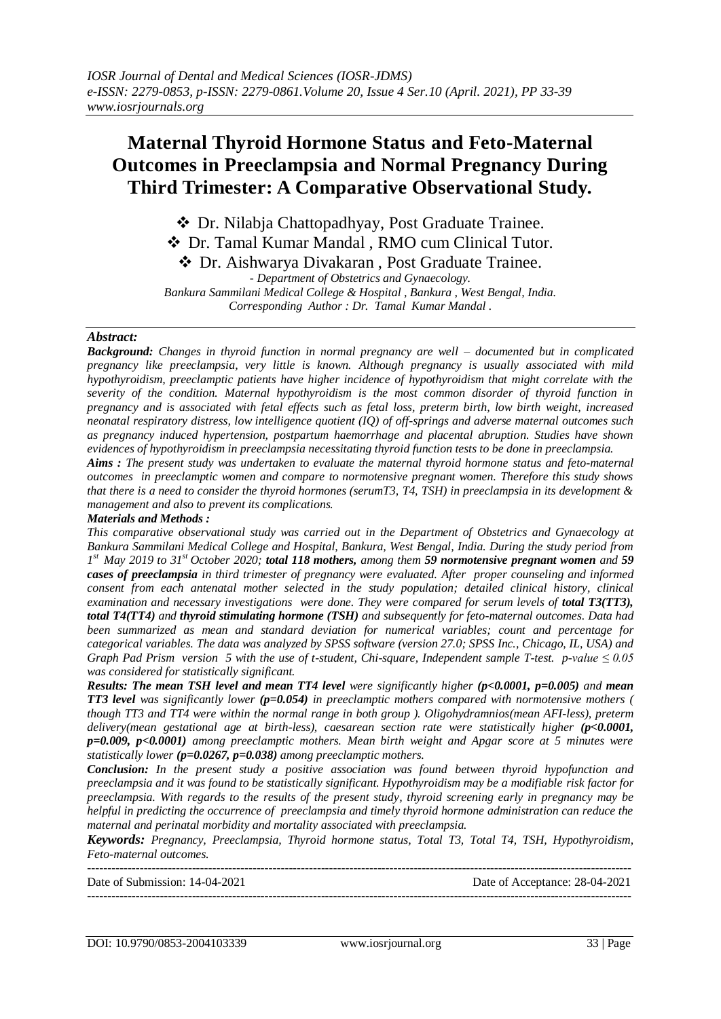# **Maternal Thyroid Hormone Status and Feto-Maternal Outcomes in Preeclampsia and Normal Pregnancy During Third Trimester: A Comparative Observational Study.**

 Dr. Nilabja Chattopadhyay, Post Graduate Trainee. Dr. Tamal Kumar Mandal , RMO cum Clinical Tutor. Dr. Aishwarya Divakaran , Post Graduate Trainee. *- Department of Obstetrics and Gynaecology. Bankura Sammilani Medical College & Hospital , Bankura , West Bengal, India. Corresponding Author : Dr. Tamal Kumar Mandal .*

### *Abstract:*

*Background: Changes in thyroid function in normal pregnancy are well – documented but in complicated pregnancy like preeclampsia, very little is known. Although pregnancy is usually associated with mild hypothyroidism, preeclamptic patients have higher incidence of hypothyroidism that might correlate with the severity of the condition. Maternal hypothyroidism is the most common disorder of thyroid function in pregnancy and is associated with fetal effects such as fetal loss, preterm birth, low birth weight, increased neonatal respiratory distress, low intelligence quotient (IQ) of off-springs and adverse maternal outcomes such as pregnancy induced hypertension, postpartum haemorrhage and placental abruption. Studies have shown evidences of hypothyroidism in preeclampsia necessitating thyroid function tests to be done in preeclampsia.*

*Aims : The present study was undertaken to evaluate the maternal thyroid hormone status and feto-maternal outcomes in preeclamptic women and compare to normotensive pregnant women. Therefore this study shows that there is a need to consider the thyroid hormones (serumT3, T4, TSH) in preeclampsia in its development & management and also to prevent its complications.*

#### *Materials and Methods :*

*This comparative observational study was carried out in the Department of Obstetrics and Gynaecology at Bankura Sammilani Medical College and Hospital, Bankura, West Bengal, India. During the study period from 1 st May 2019 to 31st October 2020; total 118 mothers, among them 59 normotensive pregnant women and 59 cases of preeclampsia in third trimester of pregnancy were evaluated. After proper counseling and informed consent from each antenatal mother selected in the study population; detailed clinical history, clinical examination and necessary investigations were done. They were compared for serum levels of <i>total T3(TT3)*, *total T4(TT4) and thyroid stimulating hormone (TSH) and subsequently for feto-maternal outcomes. Data had been summarized as mean and standard deviation for numerical variables; count and percentage for categorical variables. The data was analyzed by SPSS software (version 27.0; SPSS Inc., Chicago, IL, USA) and Graph Pad Prism version 5 with the use of t-student, Chi-square, Independent sample T-test. p-value ≤ 0.05 was considered for statistically significant.*

*Results: The mean TSH level and mean TT4 level were significantly higher (p<0.0001, p=0.005) and mean TT3 level was significantly lower (p=0.054) in preeclamptic mothers compared with normotensive mothers ( though TT3 and TT4 were within the normal range in both group ). Oligohydramnios(mean AFI-less), preterm delivery(mean gestational age at birth-less), caesarean section rate were statistically higher (p<0.0001, p=0.009, p<0.0001) among preeclamptic mothers. Mean birth weight and Apgar score at 5 minutes were statistically lower (p=0.0267, p=0.038) among preeclamptic mothers.*

*Conclusion: In the present study a positive association was found between thyroid hypofunction and preeclampsia and it was found to be statistically significant. Hypothyroidism may be a modifiable risk factor for preeclampsia. With regards to the results of the present study, thyroid screening early in pregnancy may be helpful in predicting the occurrence of preeclampsia and timely thyroid hormone administration can reduce the maternal and perinatal morbidity and mortality associated with preeclampsia.*

*Keywords: Pregnancy, Preeclampsia, Thyroid hormone status, Total T3, Total T4, TSH, Hypothyroidism, Feto-maternal outcomes.*

| Date of Submission: 14-04-2021 | Date of Acceptance: 28-04-2021 |
|--------------------------------|--------------------------------|
|                                |                                |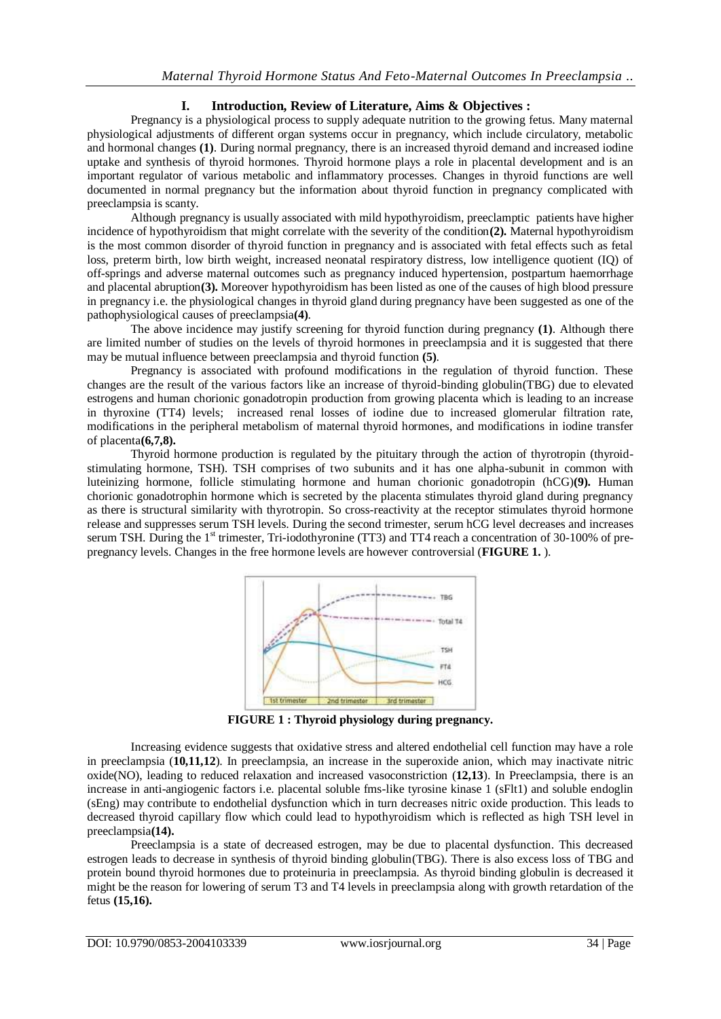# **I. Introduction, Review of Literature, Aims & Objectives :**

Pregnancy is a physiological process to supply adequate nutrition to the growing fetus. Many maternal physiological adjustments of different organ systems occur in pregnancy, which include circulatory, metabolic and hormonal changes **(1)**. During normal pregnancy, there is an increased thyroid demand and increased iodine uptake and synthesis of thyroid hormones. Thyroid hormone plays a role in placental development and is an important regulator of various metabolic and inflammatory processes. Changes in thyroid functions are well documented in normal pregnancy but the information about thyroid function in pregnancy complicated with preeclampsia is scanty.

Although pregnancy is usually associated with mild hypothyroidism, preeclamptic patients have higher incidence of hypothyroidism that might correlate with the severity of the condition**(2).** Maternal hypothyroidism is the most common disorder of thyroid function in pregnancy and is associated with fetal effects such as fetal loss, preterm birth, low birth weight, increased neonatal respiratory distress, low intelligence quotient (IQ) of off-springs and adverse maternal outcomes such as pregnancy induced hypertension, postpartum haemorrhage and placental abruption**(3).** Moreover hypothyroidism has been listed as one of the causes of high blood pressure in pregnancy i.e. the physiological changes in thyroid gland during pregnancy have been suggested as one of the pathophysiological causes of preeclampsia**(4)**.

The above incidence may justify screening for thyroid function during pregnancy **(1)**. Although there are limited number of studies on the levels of thyroid hormones in preeclampsia and it is suggested that there may be mutual influence between preeclampsia and thyroid function **(5)**.

Pregnancy is associated with profound modifications in the regulation of thyroid function. These changes are the result of the various factors like an increase of thyroid-binding globulin(TBG) due to elevated estrogens and human chorionic gonadotropin production from growing placenta which is leading to an increase in thyroxine (TT4) levels; increased renal losses of iodine due to increased glomerular filtration rate, modifications in the peripheral metabolism of maternal thyroid hormones, and modifications in iodine transfer of placenta**(6,7,8).**

Thyroid hormone production is regulated by the pituitary through the action of thyrotropin (thyroidstimulating hormone, TSH). TSH comprises of two subunits and it has one alpha-subunit in common with luteinizing hormone, follicle stimulating hormone and human chorionic gonadotropin (hCG)**(9).** Human chorionic gonadotrophin hormone which is secreted by the placenta stimulates thyroid gland during pregnancy as there is structural similarity with thyrotropin. So cross-reactivity at the receptor stimulates thyroid hormone release and suppresses serum TSH levels. During the second trimester, serum hCG level decreases and increases serum TSH. During the 1<sup>st</sup> trimester, Tri-iodothyronine (TT3) and TT4 reach a concentration of 30-100% of prepregnancy levels. Changes in the free hormone levels are however controversial (**FIGURE 1.** ).



**FIGURE 1 : Thyroid physiology during pregnancy.**

Increasing evidence suggests that oxidative stress and altered endothelial cell function may have a role in preeclampsia (**10,11,12**). In preeclampsia, an increase in the superoxide anion, which may inactivate nitric oxide(NO), leading to reduced relaxation and increased vasoconstriction (**12,13**). In Preeclampsia, there is an increase in anti-angiogenic factors i.e. placental soluble fms-like tyrosine kinase 1 (sFlt1) and soluble endoglin (sEng) may contribute to endothelial dysfunction which in turn decreases nitric oxide production. This leads to decreased thyroid capillary flow which could lead to hypothyroidism which is reflected as high TSH level in preeclampsia**(14).**

Preeclampsia is a state of decreased estrogen, may be due to placental dysfunction. This decreased estrogen leads to decrease in synthesis of thyroid binding globulin(TBG). There is also excess loss of TBG and protein bound thyroid hormones due to proteinuria in preeclampsia. As thyroid binding globulin is decreased it might be the reason for lowering of serum T3 and T4 levels in preeclampsia along with growth retardation of the fetus **(15,16).**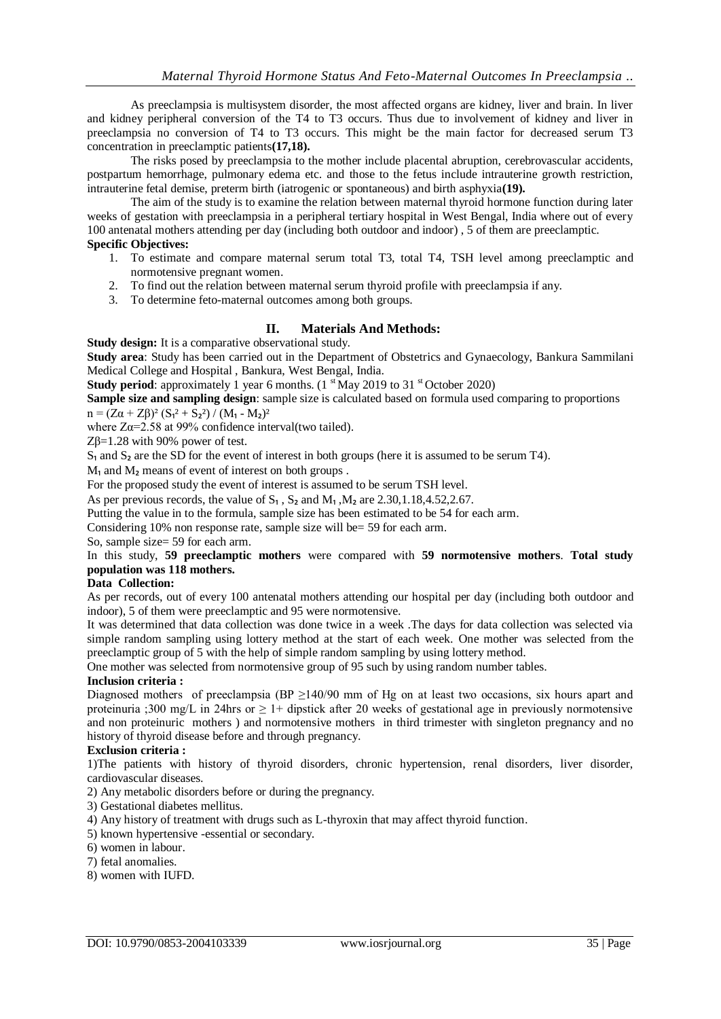As preeclampsia is multisystem disorder, the most affected organs are kidney, liver and brain. In liver and kidney peripheral conversion of the T4 to T3 occurs. Thus due to involvement of kidney and liver in preeclampsia no conversion of T4 to T3 occurs. This might be the main factor for decreased serum T3 concentration in preeclamptic patients**(17,18).**

The risks posed by preeclampsia to the mother include placental abruption, cerebrovascular accidents, postpartum hemorrhage, pulmonary edema etc. and those to the fetus include intrauterine growth restriction, intrauterine fetal demise, preterm birth (iatrogenic or spontaneous) and birth asphyxia**(19).**

The aim of the study is to examine the relation between maternal thyroid hormone function during later weeks of gestation with preeclampsia in a peripheral tertiary hospital in West Bengal, India where out of every 100 antenatal mothers attending per day (including both outdoor and indoor) , 5 of them are preeclamptic.

#### **Specific Objectives:**

- 1. To estimate and compare maternal serum total T3, total T4, TSH level among preeclamptic and normotensive pregnant women.
- 2. To find out the relation between maternal serum thyroid profile with preeclampsia if any.
- 3. To determine feto-maternal outcomes among both groups.

# **II. Materials And Methods:**

**Study design:** It is a comparative observational study.

**Study area**: Study has been carried out in the Department of Obstetrics and Gynaecology, Bankura Sammilani Medical College and Hospital , Bankura, West Bengal, India.

**Study period:** approximately 1 year 6 months. (1<sup>st</sup> May 2019 to 31<sup>st</sup> October 2020)

**Sample size and sampling design**: sample size is calculated based on formula used comparing to proportions  $n = (Z\alpha + Z\beta)^2 (S_1^2 + S_2^2) / (M_1 - M_2)^2$ 

where  $Z\alpha=2.58$  at 99% confidence interval(two tailed).

Zβ=1.28 with 90% power of test.

 $S_1$  and  $S_2$  are the SD for the event of interest in both groups (here it is assumed to be serum T4).

 $M<sub>1</sub>$  and  $M<sub>2</sub>$  means of event of interest on both groups.

For the proposed study the event of interest is assumed to be serum TSH level.

As per previous records, the value of  $S_1$ ,  $S_2$  and  $M_1$ ,  $M_2$  are 2.30,1.18,4.52,2.67.

Putting the value in to the formula, sample size has been estimated to be 54 for each arm.

Considering 10% non response rate, sample size will be= 59 for each arm.

So, sample size= 59 for each arm.

In this study, **59 preeclamptic mothers** were compared with **59 normotensive mothers**. **Total study population was 118 mothers.**

## **Data Collection:**

As per records, out of every 100 antenatal mothers attending our hospital per day (including both outdoor and indoor), 5 of them were preeclamptic and 95 were normotensive.

It was determined that data collection was done twice in a week .The days for data collection was selected via simple random sampling using lottery method at the start of each week. One mother was selected from the preeclamptic group of 5 with the help of simple random sampling by using lottery method.

One mother was selected from normotensive group of 95 such by using random number tables.

# **Inclusion criteria :**

Diagnosed mothers of preeclampsia (BP ≥140/90 mm of Hg on at least two occasions, six hours apart and proteinuria ;300 mg/L in 24hrs or  $\geq 1+$  dipstick after 20 weeks of gestational age in previously normotensive and non proteinuric mothers ) and normotensive mothers in third trimester with singleton pregnancy and no history of thyroid disease before and through pregnancy.

#### **Exclusion criteria :**

1)The patients with history of thyroid disorders, chronic hypertension, renal disorders, liver disorder, cardiovascular diseases.

2) Any metabolic disorders before or during the pregnancy.

3) Gestational diabetes mellitus.

4) Any history of treatment with drugs such as L-thyroxin that may affect thyroid function.

- 5) known hypertensive -essential or secondary.
- 6) women in labour.
- 7) fetal anomalies.
- 8) women with IUFD.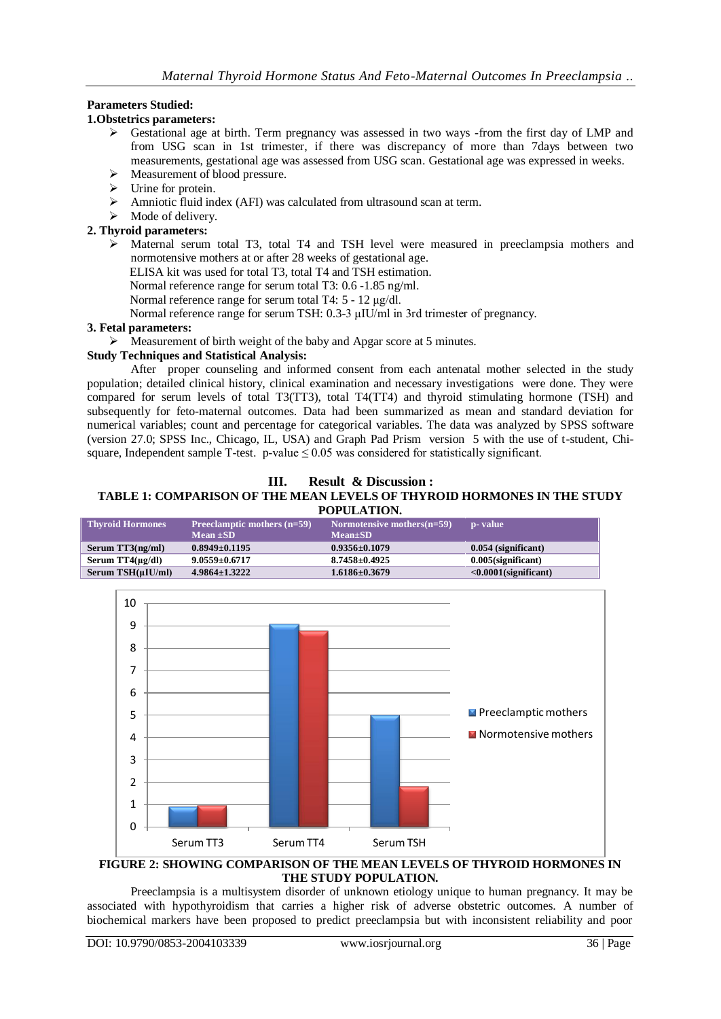# **Parameters Studied:**

## **1.Obstetrics parameters:**

- Gestational age at birth. Term pregnancy was assessed in two ways -from the first day of LMP and from USG scan in 1st trimester, if there was discrepancy of more than 7days between two measurements, gestational age was assessed from USG scan. Gestational age was expressed in weeks.
- $\triangleright$  Measurement of blood pressure.
- $\triangleright$  Urine for protein.
- Amniotic fluid index (AFI) was calculated from ultrasound scan at term.
- $\triangleright$  Mode of delivery.

## **2. Thyroid parameters:**

- $\triangleright$  Maternal serum total T3, total T4 and TSH level were measured in preeclampsia mothers and normotensive mothers at or after 28 weeks of gestational age.
	- ELISA kit was used for total T3, total T4 and TSH estimation.
	- Normal reference range for serum total T3: 0.6 -1.85 ng/ml.
	- Normal reference range for serum total T4: 5 12 μg/dl.

Normal reference range for serum TSH: 0.3-3 μIU/ml in 3rd trimester of pregnancy.

### **3. Fetal parameters:**

Measurement of birth weight of the baby and Apgar score at 5 minutes.

## **Study Techniques and Statistical Analysis:**

After proper counseling and informed consent from each antenatal mother selected in the study population; detailed clinical history, clinical examination and necessary investigations were done. They were compared for serum levels of total T3(TT3), total T4(TT4) and thyroid stimulating hormone (TSH) and subsequently for feto-maternal outcomes. Data had been summarized as mean and standard deviation for numerical variables; count and percentage for categorical variables. The data was analyzed by SPSS software (version 27.0; SPSS Inc., Chicago, IL, USA) and Graph Pad Prism version 5 with the use of t-student, Chisquare, Independent sample T-test. p-value  $\leq 0.05$  was considered for statistically significant.

## **III. Result & Discussion :**

#### **TABLE 1: COMPARISON OF THE MEAN LEVELS OF THYROID HORMONES IN THE STUDY POPULATION.**

| <b>Thyroid Hormones</b> | <b>Preeclamptic mothers <math>(n=59)</math></b> | Normotensive mothers $(n=59)$ | p- value                       |
|-------------------------|-------------------------------------------------|-------------------------------|--------------------------------|
|                         | Mean $\pm SD$                                   | $Mean \pm SD$                 |                                |
| Serum $TT3(ng/ml)$      | $0.8949 \pm 0.1195$                             | $0.9356 \pm 0.1079$           | $0.054$ (significant)          |
| Serum $TT4(\mu g/dl)$   | $9.0559 \pm 0.6717$                             | $8.7458 \pm 0.4925$           | $0.005$ (significant)          |
| $Serum TSH(\muIU/ml)$   | $4.9864 \pm 1.3222$                             | $1.6186 \pm 0.3679$           | $\langle 0.0001$ (significant) |



## **FIGURE 2: SHOWING COMPARISON OF THE MEAN LEVELS OF THYROID HORMONES IN THE STUDY POPULATION.**

Preeclampsia is a multisystem disorder of unknown etiology unique to human pregnancy. It may be associated with hypothyroidism that carries a higher risk of adverse obstetric outcomes. A number of biochemical markers have been proposed to predict preeclampsia but with inconsistent reliability and poor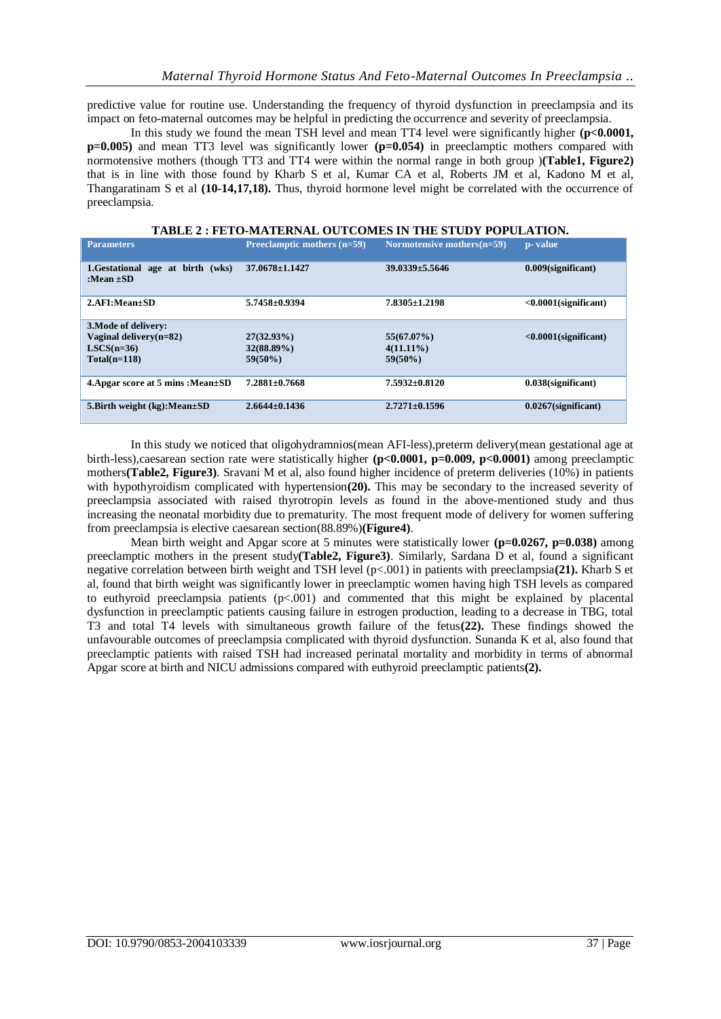predictive value for routine use. Understanding the frequency of thyroid dysfunction in preeclampsia and its impact on feto-maternal outcomes may be helpful in predicting the occurrence and severity of preeclampsia.

In this study we found the mean TSH level and mean TT4 level were significantly higher **(p<0.0001, p=0.005)** and mean TT3 level was significantly lower **(p=0.054)** in preeclamptic mothers compared with normotensive mothers (though TT3 and TT4 were within the normal range in both group )**(Table1, Figure2)** that is in line with those found by Kharb S et al, Kumar CA et al, Roberts JM et al, Kadono M et al, Thangaratinam S et al **(10-14,17,18).** Thus, thyroid hormone level might be correlated with the occurrence of preeclampsia.

| <b>Parameters</b>                                        | Preeclamptic mothers (n=59) | Normotensive mothers $(n=59)$ | p- value                |
|----------------------------------------------------------|-----------------------------|-------------------------------|-------------------------|
| birth (wks)<br>1.Gestational<br>age at<br>:Mean $\pm SD$ | $37.0678 \pm 1.1427$        | $39.0339 \pm 5.5646$          | $0.009$ (significant)   |
| $2.AFI:Mean \pm SD$                                      | $5.7458 \pm 0.9394$         | $7.8305 \pm 1.2198$           | $<0.0001$ (significant) |
| 3. Mode of delivery:                                     |                             |                               |                         |
| Vaginal delivery $(n=82)$                                | $27(32.93\%)$               | $55(67.07\%)$                 | $<0.0001$ (significant) |
| $LSCS(n=36)$                                             | $32(88.89\%)$               | $4(11.11\%)$                  |                         |
| $Total(n=118)$                                           | $59(50\%)$                  | $59(50\%)$                    |                         |
| 4. Apgar score at 5 mins : $Mean \pm SD$                 | $7.2881 \pm 0.7668$         | $7.5932\pm0.8120$             | $0.038$ (significant)   |
| 5. Birth weight $(kg)$ : Mean $\pm SD$                   | $2.6644 \pm 0.1436$         | $2.7271 \pm 0.1596$           | $0.0267$ (significant)  |

#### **TABLE 2 : FETO-MATERNAL OUTCOMES IN THE STUDY POPULATION.**

In this study we noticed that oligohydramnios(mean AFI-less), preterm delivery(mean gestational age at birth-less),caesarean section rate were statistically higher **(p<0.0001, p=0.009, p<0.0001)** among preeclamptic mothers**(Table2, Figure3)**. Sravani M et al, also found higher incidence of preterm deliveries (10%) in patients with hypothyroidism complicated with hypertension(20). This may be secondary to the increased severity of preeclampsia associated with raised thyrotropin levels as found in the above-mentioned study and thus increasing the neonatal morbidity due to prematurity. The most frequent mode of delivery for women suffering from preeclampsia is elective caesarean section(88.89%)**(Figure4)**.

Mean birth weight and Apgar score at 5 minutes were statistically lower **(p=0.0267, p=0.038)** among preeclamptic mothers in the present study**(Table2, Figure3)**. Similarly, Sardana D et al, found a significant negative correlation between birth weight and TSH level (p<.001) in patients with preeclampsia**(21).** Kharb S et al, found that birth weight was significantly lower in preeclamptic women having high TSH levels as compared to euthyroid preeclampsia patients (p<.001) and commented that this might be explained by placental dysfunction in preeclamptic patients causing failure in estrogen production, leading to a decrease in TBG, total T3 and total T4 levels with simultaneous growth failure of the fetus**(22).** These findings showed the unfavourable outcomes of preeclampsia complicated with thyroid dysfunction. Sunanda K et al, also found that preeclamptic patients with raised TSH had increased perinatal mortality and morbidity in terms of abnormal Apgar score at birth and NICU admissions compared with euthyroid preeclamptic patients**(2).**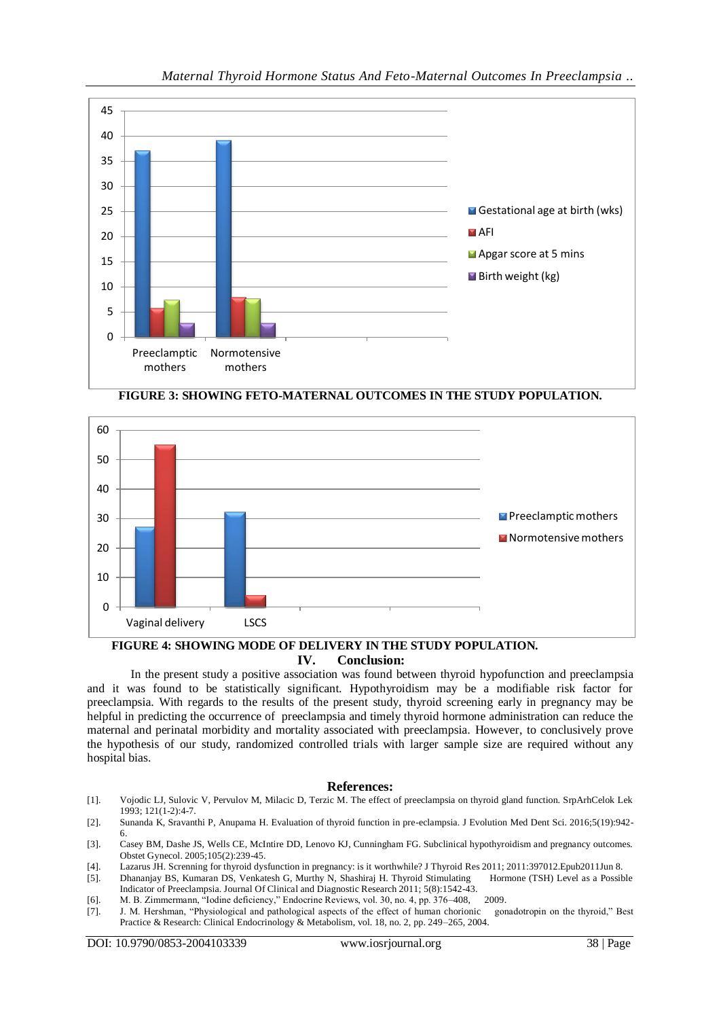





# **FIGURE 4: SHOWING MODE OF DELIVERY IN THE STUDY POPULATION. IV. Conclusion:**

In the present study a positive association was found between thyroid hypofunction and preeclampsia and it was found to be statistically significant. Hypothyroidism may be a modifiable risk factor for preeclampsia. With regards to the results of the present study, thyroid screening early in pregnancy may be helpful in predicting the occurrence of preeclampsia and timely thyroid hormone administration can reduce the maternal and perinatal morbidity and mortality associated with preeclampsia. However, to conclusively prove the hypothesis of our study, randomized controlled trials with larger sample size are required without any hospital bias.

#### **References:**

- [1]. Vojodic LJ, Sulovic V, Pervulov M, Milacic D, Terzic M. The effect of preeclampsia on thyroid gland function. SrpArhCelok Lek 1993; 121(1-2):4-7.
- [2]. Sunanda K, Sravanthi P, Anupama H. Evaluation of thyroid function in pre-eclampsia. J Evolution Med Dent Sci. 2016;5(19):942- 6.
- [3]. Casey BM, Dashe JS, Wells CE, McIntire DD, Lenovo KJ, Cunningham FG. Subclinical hypothyroidism and pregnancy outcomes. Obstet Gynecol. 2005;105(2):239-45.
- [4]. Lazarus JH. Screnning for thyroid dysfunction in pregnancy: is it worthwhile? J Thyroid Res 2011; 2011:397012.Epub2011Jun 8.
- [5]. Dhananjay BS, Kumaran DS, Venkatesh G, Murthy N, Shashiraj H. Thyroid Stimulating Hormone (TSH) Level as a Possible Indicator of Preeclampsia. Journal Of Clinical and Diagnostic Research 2011; 5(8):1542-43.
- 
- [6]. M. B. Zimmermann, "Iodine deficiency," Endocrine Reviews, vol. 30, no. 4, pp. 376–408, 2009.<br>[7]. J. M. Hershman, "Physiological and pathological aspects of the effect of human chorionic gonadotropin on the thyroid," [7]. J. M. Hershman, "Physiological and pathological aspects of the effect of human chorionic Practice & Research: Clinical Endocrinology & Metabolism, vol. 18, no. 2, pp. 249–265, 2004.